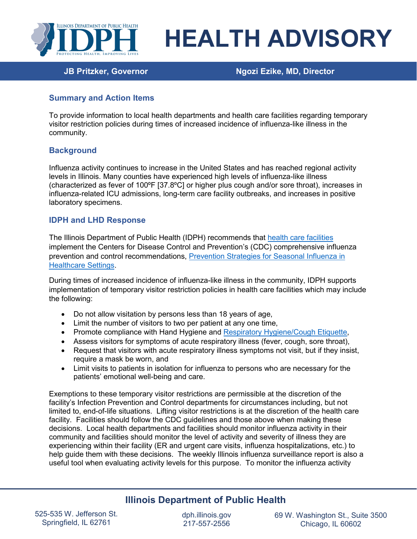

# **HEALTH ADVISORY**

**JB Pritzker, Governor Ngozi Ezike, MD, Director**

## **Summary and Action Items**

To provide information to local health departments and health care facilities regarding temporary visitor restriction policies during times of increased incidence of influenza-like illness in the community.

## **Background**

Influenza activity continues to increase in the United States and has reached regional activity levels in Illinois. Many counties have experienced high levels of influenza-like illness (characterized as fever of 100ºF [37.8ºC] or higher plus cough and/or sore throat), increases in influenza-related ICU admissions, long-term care facility outbreaks, and increases in positive laboratory specimens.

## **IDPH and LHD Response**

The Illinois Department of Public Health (IDPH) recommends that [health care facilities](https://www.cdc.gov/flu/professionals/infectioncontrol/healthcaresettings.htm#personnel) implement the Centers for Disease Control and Prevention's (CDC) comprehensive influenza prevention and control recommendations, [Prevention Strategies for Seasonal Influenza in](http://www.cdc.gov/flu/professionals/infectioncontrol/healthcaresettings.htm)  [Healthcare Settings.](http://www.cdc.gov/flu/professionals/infectioncontrol/healthcaresettings.htm)

During times of increased incidence of influenza-like illness in the community, IDPH supports implementation of temporary visitor restriction policies in health care facilities which may include the following:

- Do not allow visitation by persons less than 18 years of age,
- Limit the number of visitors to two per patient at any one time,
- Promote compliance with Hand Hygiene and [Respiratory Hygiene/Cough Etiquette,](http://www.cdc.gov/flu/professionals/infectioncontrol/resphygiene.htm)
- Assess visitors for symptoms of acute respiratory illness (fever, cough, sore throat),
- Request that visitors with acute respiratory illness symptoms not visit, but if they insist, require a mask be worn, and
- Limit visits to patients in isolation for influenza to persons who are necessary for the patients' emotional well-being and care.

Exemptions to these temporary visitor restrictions are permissible at the discretion of the facility's Infection Prevention and Control departments for circumstances including, but not limited to, end-of-life situations. Lifting visitor restrictions is at the discretion of the health care facility. Facilities should follow the CDC quidelines and those above when making these decisions. Local health departments and facilities should monitor influenza activity in their community and facilities should monitor the level of activity and severity of illness they are experiencing within their facility (ER and urgent care visits, influenza hospitalizations, etc.) to help guide them with these decisions. The weekly Illinois influenza surveillance report is also a useful tool when evaluating activity levels for this purpose. To monitor the influenza activity

# **Illinois Department of Public Health**

525-535 W. Jefferson St. Springfield, IL 62761

dph.illinois.gov 217-557-2556

69 W. Washington St., Suite 3500 Chicago, IL 60602